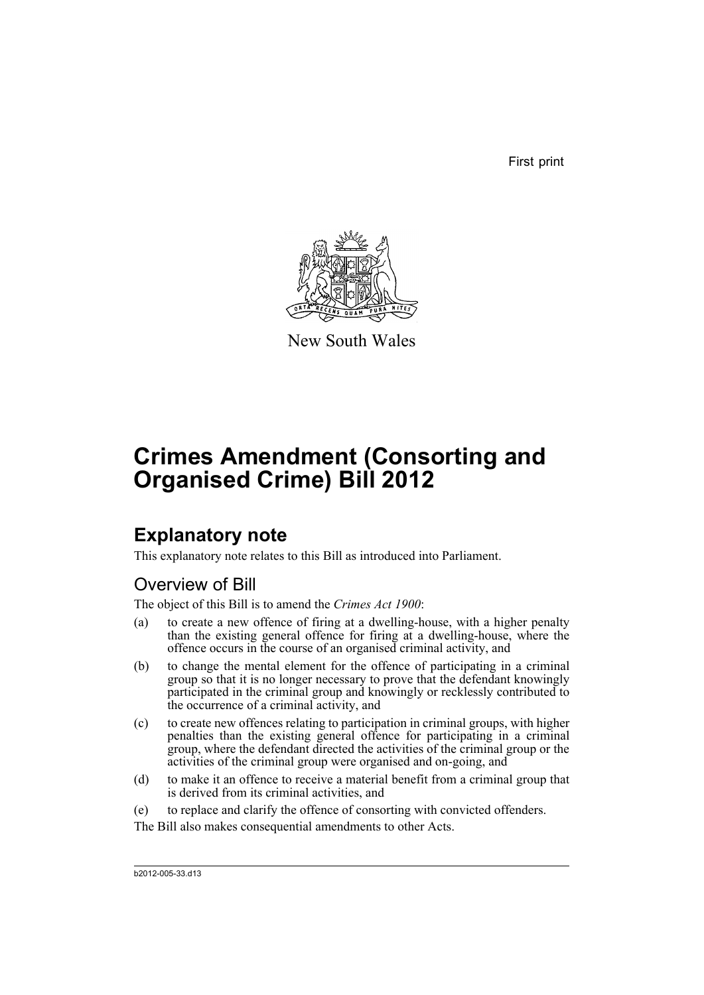First print



New South Wales

# **Crimes Amendment (Consorting and Organised Crime) Bill 2012**

## **Explanatory note**

This explanatory note relates to this Bill as introduced into Parliament.

## Overview of Bill

The object of this Bill is to amend the *Crimes Act 1900*:

- (a) to create a new offence of firing at a dwelling-house, with a higher penalty than the existing general offence for firing at a dwelling-house, where the offence occurs in the course of an organised criminal activity, and
- (b) to change the mental element for the offence of participating in a criminal group so that it is no longer necessary to prove that the defendant knowingly participated in the criminal group and knowingly or recklessly contributed to the occurrence of a criminal activity, and
- (c) to create new offences relating to participation in criminal groups, with higher penalties than the existing general offence for participating in a criminal group, where the defendant directed the activities of the criminal group or the activities of the criminal group were organised and on-going, and
- (d) to make it an offence to receive a material benefit from a criminal group that is derived from its criminal activities, and
- (e) to replace and clarify the offence of consorting with convicted offenders.
- The Bill also makes consequential amendments to other Acts.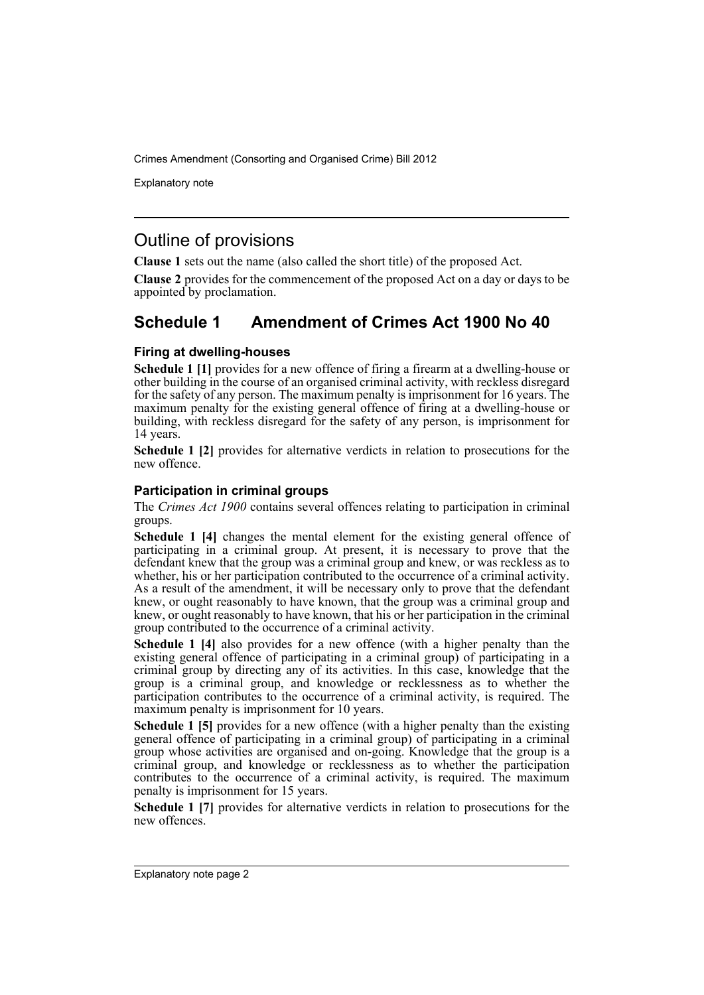Explanatory note

### Outline of provisions

**Clause 1** sets out the name (also called the short title) of the proposed Act.

**Clause 2** provides for the commencement of the proposed Act on a day or days to be appointed by proclamation.

## **Schedule 1 Amendment of Crimes Act 1900 No 40**

#### **Firing at dwelling-houses**

**Schedule 1 [1]** provides for a new offence of firing a firearm at a dwelling-house or other building in the course of an organised criminal activity, with reckless disregard for the safety of any person. The maximum penalty is imprisonment for 16 years. The maximum penalty for the existing general offence of firing at a dwelling-house or building, with reckless disregard for the safety of any person, is imprisonment for 14 years.

**Schedule 1 [2]** provides for alternative verdicts in relation to prosecutions for the new offence.

#### **Participation in criminal groups**

The *Crimes Act 1900* contains several offences relating to participation in criminal groups.

**Schedule 1 [4]** changes the mental element for the existing general offence of participating in a criminal group. At present, it is necessary to prove that the defendant knew that the group was a criminal group and knew, or was reckless as to whether, his or her participation contributed to the occurrence of a criminal activity. As a result of the amendment, it will be necessary only to prove that the defendant knew, or ought reasonably to have known, that the group was a criminal group and knew, or ought reasonably to have known, that his or her participation in the criminal group contributed to the occurrence of a criminal activity.

**Schedule 1 [4]** also provides for a new offence (with a higher penalty than the existing general offence of participating in a criminal group) of participating in a criminal group by directing any of its activities. In this case, knowledge that the group is a criminal group, and knowledge or recklessness as to whether the participation contributes to the occurrence of a criminal activity, is required. The maximum penalty is imprisonment for 10 years.

**Schedule 1 [5]** provides for a new offence (with a higher penalty than the existing general offence of participating in a criminal group) of participating in a criminal group whose activities are organised and on-going. Knowledge that the group is a criminal group, and knowledge or recklessness as to whether the participation contributes to the occurrence of a criminal activity, is required. The maximum penalty is imprisonment for 15 years.

**Schedule 1 [7]** provides for alternative verdicts in relation to prosecutions for the new offences.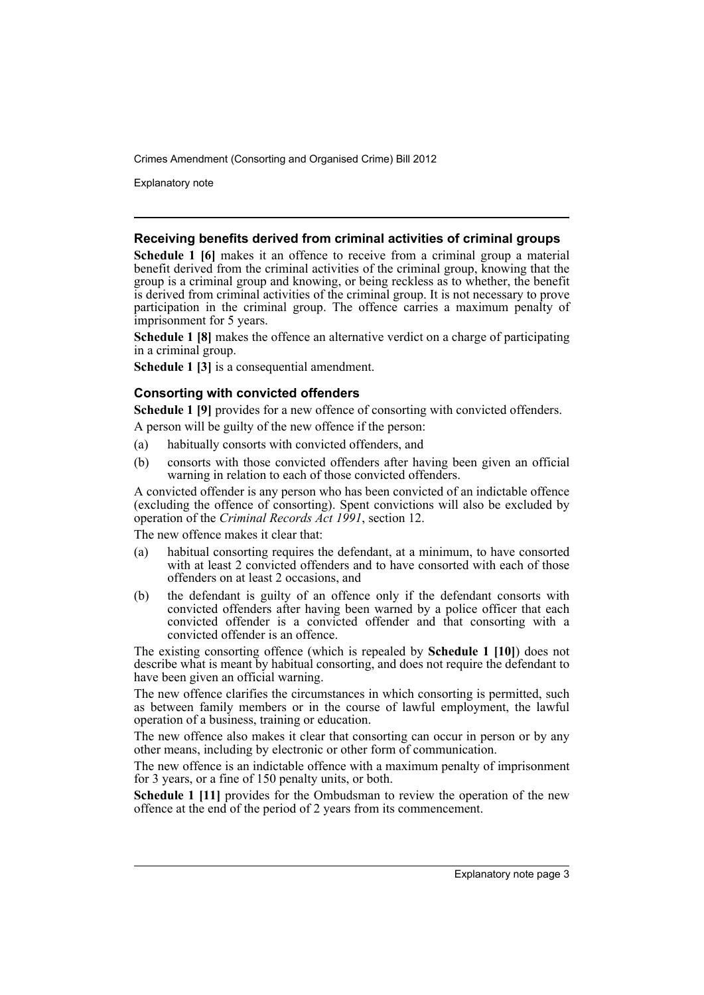Explanatory note

#### **Receiving benefits derived from criminal activities of criminal groups**

**Schedule 1 [6]** makes it an offence to receive from a criminal group a material benefit derived from the criminal activities of the criminal group, knowing that the group is a criminal group and knowing, or being reckless as to whether, the benefit is derived from criminal activities of the criminal group. It is not necessary to prove participation in the criminal group. The offence carries a maximum penalty of imprisonment for 5 years.

**Schedule 1 [8]** makes the offence an alternative verdict on a charge of participating in a criminal group.

**Schedule 1 [3]** is a consequential amendment.

#### **Consorting with convicted offenders**

**Schedule 1 [9]** provides for a new offence of consorting with convicted offenders.

A person will be guilty of the new offence if the person:

- (a) habitually consorts with convicted offenders, and
- (b) consorts with those convicted offenders after having been given an official warning in relation to each of those convicted offenders.

A convicted offender is any person who has been convicted of an indictable offence (excluding the offence of consorting). Spent convictions will also be excluded by operation of the *Criminal Records Act 1991*, section 12.

The new offence makes it clear that:

- (a) habitual consorting requires the defendant, at a minimum, to have consorted with at least 2 convicted offenders and to have consorted with each of those offenders on at least 2 occasions, and
- (b) the defendant is guilty of an offence only if the defendant consorts with convicted offenders after having been warned by a police officer that each convicted offender is a convicted offender and that consorting with a convicted offender is an offence.

The existing consorting offence (which is repealed by **Schedule 1 [10]**) does not describe what is meant by habitual consorting, and does not require the defendant to have been given an official warning.

The new offence clarifies the circumstances in which consorting is permitted, such as between family members or in the course of lawful employment, the lawful operation of a business, training or education.

The new offence also makes it clear that consorting can occur in person or by any other means, including by electronic or other form of communication.

The new offence is an indictable offence with a maximum penalty of imprisonment for 3 years, or a fine of 150 penalty units, or both.

**Schedule 1 [11]** provides for the Ombudsman to review the operation of the new offence at the end of the period of 2 years from its commencement.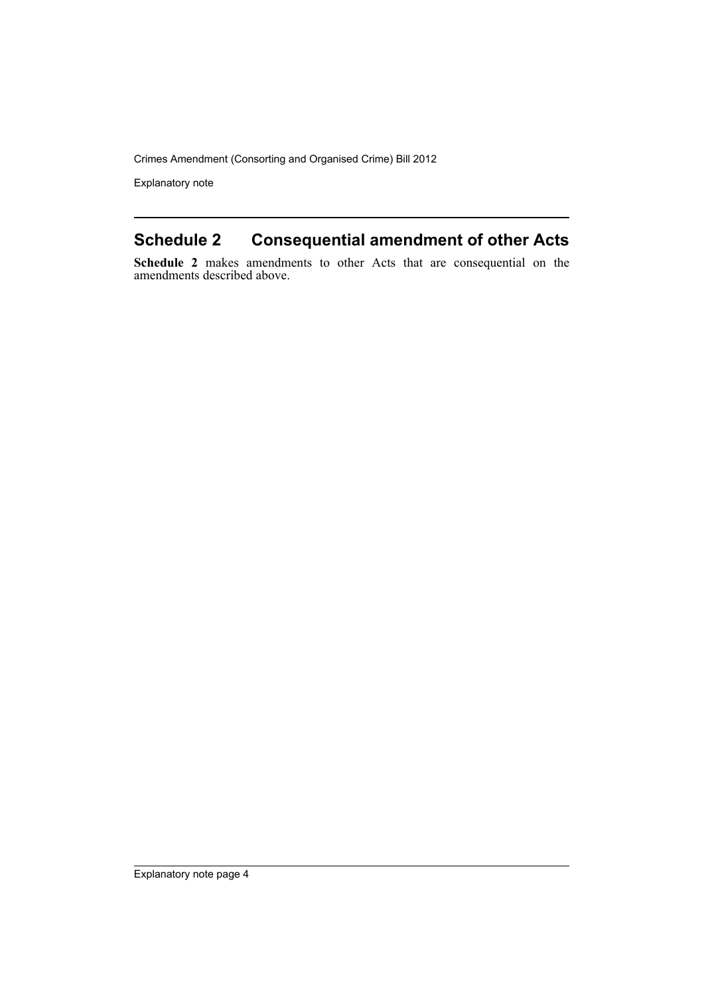Explanatory note

## **Schedule 2 Consequential amendment of other Acts**

**Schedule 2** makes amendments to other Acts that are consequential on the amendments described above.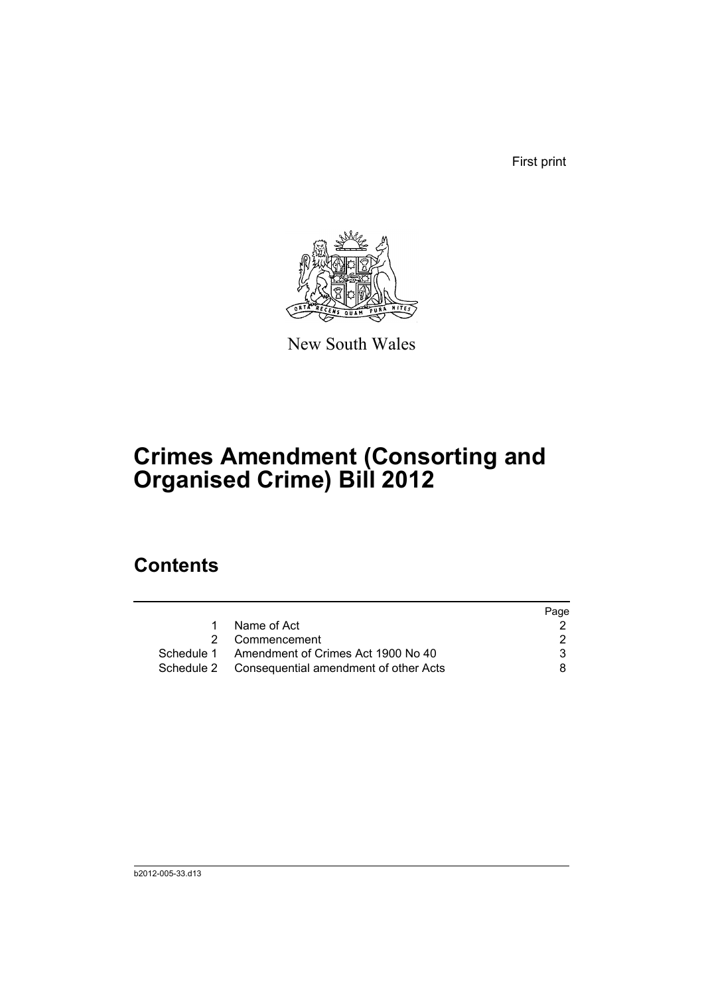First print



New South Wales

# **Crimes Amendment (Consorting and Organised Crime) Bill 2012**

## **Contents**

|                                                  | Page |
|--------------------------------------------------|------|
| Name of Act                                      |      |
| 2 Commencement                                   |      |
| Schedule 1 Amendment of Crimes Act 1900 No 40    | 3    |
| Schedule 2 Consequential amendment of other Acts | 8.   |
|                                                  |      |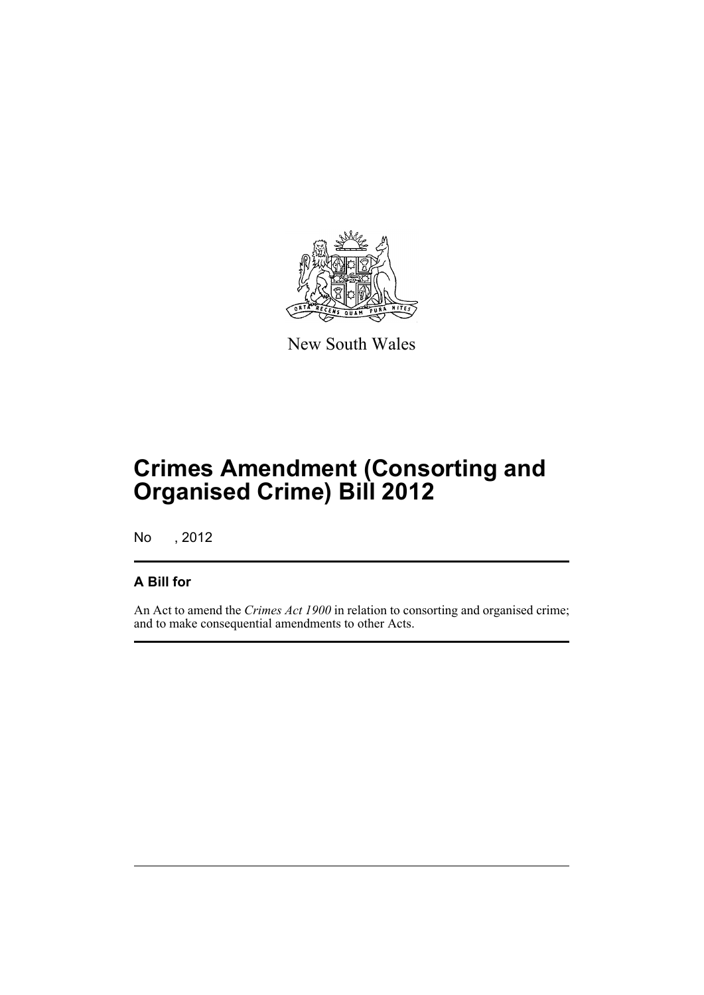

New South Wales

# **Crimes Amendment (Consorting and Organised Crime) Bill 2012**

No , 2012

#### **A Bill for**

An Act to amend the *Crimes Act 1900* in relation to consorting and organised crime; and to make consequential amendments to other Acts.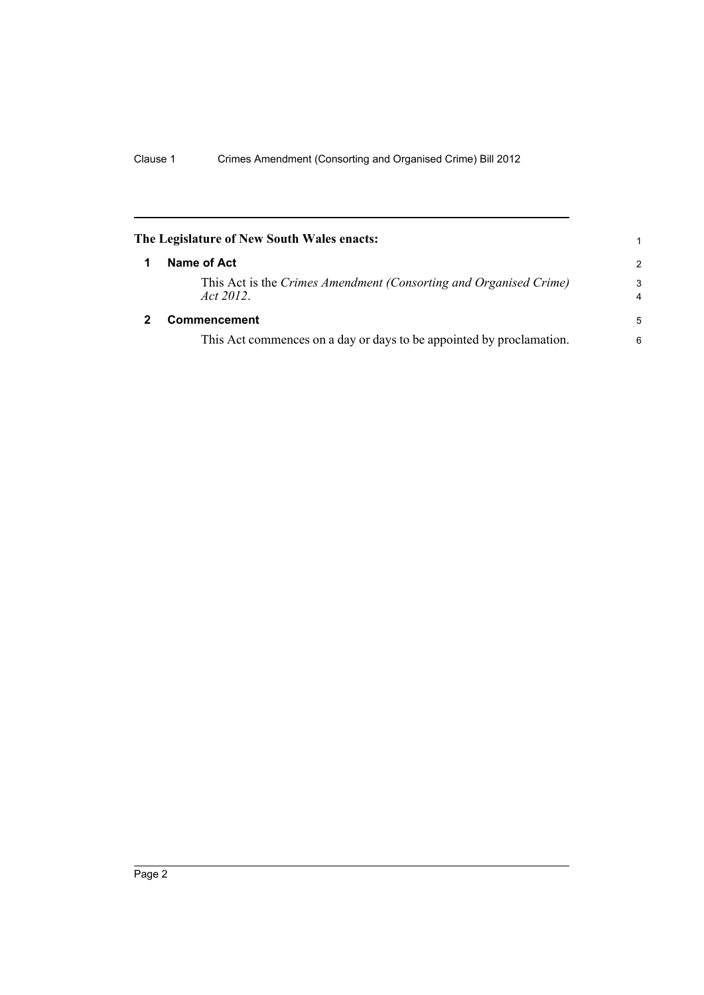<span id="page-7-1"></span><span id="page-7-0"></span>

| The Legislature of New South Wales enacts: |                                                                                |                     |  |  |
|--------------------------------------------|--------------------------------------------------------------------------------|---------------------|--|--|
|                                            | Name of Act                                                                    | 2                   |  |  |
|                                            | This Act is the Crimes Amendment (Consorting and Organised Crime)<br>Act 2012. | 3<br>$\overline{4}$ |  |  |
| 2                                          | Commencement                                                                   | 5                   |  |  |
|                                            | This Act commences on a day or days to be appointed by proclamation.           | 6                   |  |  |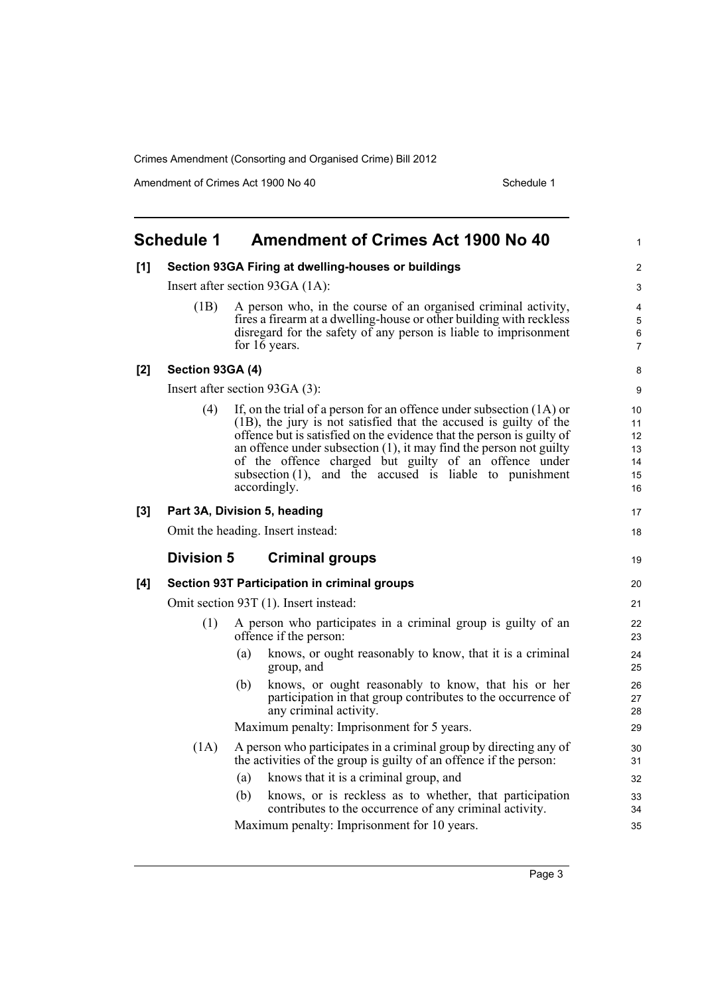Amendment of Crimes Act 1900 No 40 Schedule 1

<span id="page-8-0"></span>

| <b>Schedule 1</b> |                                 | <b>Amendment of Crimes Act 1900 No 40</b>                                                                                                                                                                                                                                                                                                                                                                                            | $\mathbf{1}$                               |  |
|-------------------|---------------------------------|--------------------------------------------------------------------------------------------------------------------------------------------------------------------------------------------------------------------------------------------------------------------------------------------------------------------------------------------------------------------------------------------------------------------------------------|--------------------------------------------|--|
| [1]               |                                 | Section 93GA Firing at dwelling-houses or buildings                                                                                                                                                                                                                                                                                                                                                                                  | 2                                          |  |
|                   | Insert after section 93GA (1A): |                                                                                                                                                                                                                                                                                                                                                                                                                                      |                                            |  |
|                   | (1B)                            | A person who, in the course of an organised criminal activity,<br>fires a firearm at a dwelling-house or other building with reckless<br>disregard for the safety of any person is liable to imprisonment<br>for 16 years.                                                                                                                                                                                                           | $\overline{4}$<br>5<br>6<br>$\overline{7}$ |  |
| [2]               | Section 93GA (4)                |                                                                                                                                                                                                                                                                                                                                                                                                                                      | 8                                          |  |
|                   |                                 | Insert after section 93GA (3):                                                                                                                                                                                                                                                                                                                                                                                                       | 9                                          |  |
|                   | (4)                             | If, on the trial of a person for an offence under subsection $(1A)$ or<br>(1B), the jury is not satisfied that the accused is guilty of the<br>offence but is satisfied on the evidence that the person is guilty of<br>an offence under subsection $(1)$ , it may find the person not guilty<br>of the offence charged but guilty of an offence under<br>subsection $(1)$ , and the accused is liable to punishment<br>accordingly. | 10<br>11<br>12<br>13<br>14<br>15<br>16     |  |
| [3]               |                                 | Part 3A, Division 5, heading                                                                                                                                                                                                                                                                                                                                                                                                         | 17                                         |  |
|                   |                                 | Omit the heading. Insert instead:                                                                                                                                                                                                                                                                                                                                                                                                    | 18                                         |  |
|                   | <b>Division 5</b>               | <b>Criminal groups</b>                                                                                                                                                                                                                                                                                                                                                                                                               | 19                                         |  |
| [4]               |                                 | <b>Section 93T Participation in criminal groups</b>                                                                                                                                                                                                                                                                                                                                                                                  | 20                                         |  |
|                   |                                 | Omit section 93T (1). Insert instead:                                                                                                                                                                                                                                                                                                                                                                                                | 21                                         |  |
|                   | (1)                             | A person who participates in a criminal group is guilty of an<br>offence if the person:                                                                                                                                                                                                                                                                                                                                              | 22<br>23                                   |  |
|                   |                                 | knows, or ought reasonably to know, that it is a criminal<br>(a)<br>group, and                                                                                                                                                                                                                                                                                                                                                       | 24<br>25                                   |  |
|                   |                                 | knows, or ought reasonably to know, that his or her<br>(b)<br>participation in that group contributes to the occurrence of<br>any criminal activity.                                                                                                                                                                                                                                                                                 | 26<br>27<br>28                             |  |
|                   |                                 | Maximum penalty: Imprisonment for 5 years.                                                                                                                                                                                                                                                                                                                                                                                           | 29                                         |  |
|                   | (1A)                            | A person who participates in a criminal group by directing any of<br>the activities of the group is guilty of an offence if the person:                                                                                                                                                                                                                                                                                              | 30<br>31                                   |  |
|                   |                                 | (a)<br>knows that it is a criminal group, and                                                                                                                                                                                                                                                                                                                                                                                        | 32                                         |  |
|                   |                                 | (b)<br>knows, or is reckless as to whether, that participation<br>contributes to the occurrence of any criminal activity.                                                                                                                                                                                                                                                                                                            | 33<br>34                                   |  |
|                   |                                 | Maximum penalty: Imprisonment for 10 years.                                                                                                                                                                                                                                                                                                                                                                                          | 35                                         |  |

Page 3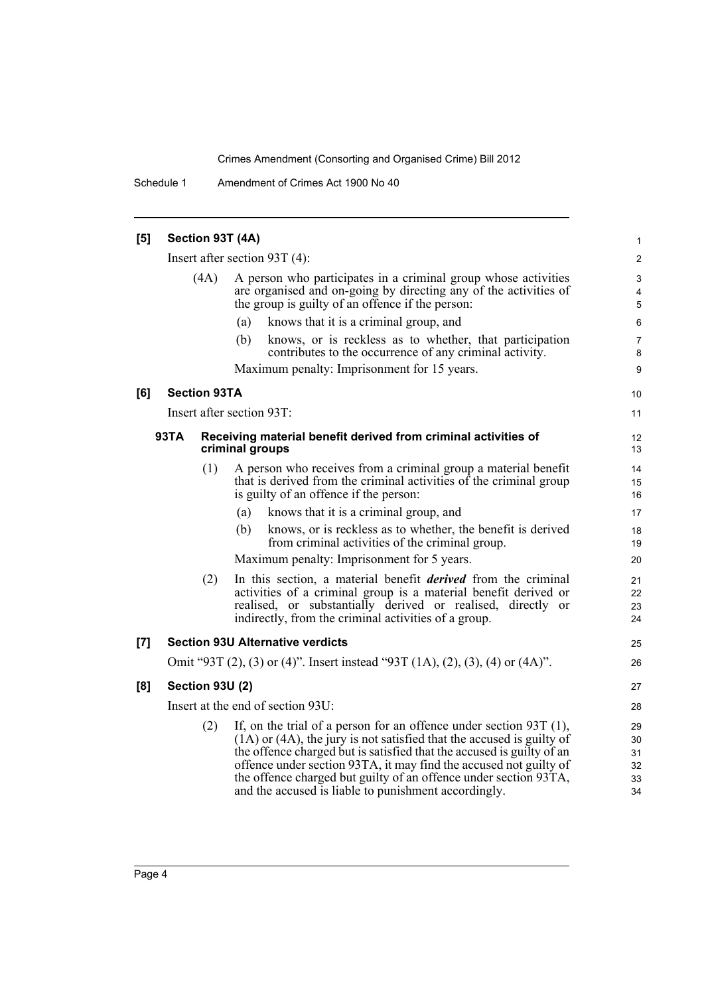Schedule 1 Amendment of Crimes Act 1900 No 40

| [5]   |                                                                                                  |                                   | Section 93T (4A)                                                                                                                                                                                                                                                                                                                                                                                                             | 1                                |  |  |
|-------|--------------------------------------------------------------------------------------------------|-----------------------------------|------------------------------------------------------------------------------------------------------------------------------------------------------------------------------------------------------------------------------------------------------------------------------------------------------------------------------------------------------------------------------------------------------------------------------|----------------------------------|--|--|
|       |                                                                                                  | Insert after section $93T(4)$ :   |                                                                                                                                                                                                                                                                                                                                                                                                                              |                                  |  |  |
|       | (4A)                                                                                             |                                   | A person who participates in a criminal group whose activities<br>are organised and on-going by directing any of the activities of<br>the group is guilty of an offence if the person:                                                                                                                                                                                                                                       | 3<br>4<br>5                      |  |  |
|       |                                                                                                  |                                   | knows that it is a criminal group, and<br>(a)                                                                                                                                                                                                                                                                                                                                                                                | 6                                |  |  |
|       |                                                                                                  |                                   | knows, or is reckless as to whether, that participation<br>(b)<br>contributes to the occurrence of any criminal activity.                                                                                                                                                                                                                                                                                                    | 7<br>8                           |  |  |
|       |                                                                                                  |                                   | Maximum penalty: Imprisonment for 15 years.                                                                                                                                                                                                                                                                                                                                                                                  | 9                                |  |  |
| [6]   |                                                                                                  | <b>Section 93TA</b>               |                                                                                                                                                                                                                                                                                                                                                                                                                              | 10                               |  |  |
|       |                                                                                                  |                                   | Insert after section 93T:                                                                                                                                                                                                                                                                                                                                                                                                    | 11                               |  |  |
|       | <b>93TA</b><br>Receiving material benefit derived from criminal activities of<br>criminal groups |                                   |                                                                                                                                                                                                                                                                                                                                                                                                                              |                                  |  |  |
|       |                                                                                                  | (1)                               | A person who receives from a criminal group a material benefit<br>that is derived from the criminal activities of the criminal group<br>is guilty of an offence if the person:                                                                                                                                                                                                                                               | 14<br>15<br>16                   |  |  |
|       |                                                                                                  |                                   | knows that it is a criminal group, and<br>(a)                                                                                                                                                                                                                                                                                                                                                                                | 17                               |  |  |
|       |                                                                                                  |                                   | (b)<br>knows, or is reckless as to whether, the benefit is derived<br>from criminal activities of the criminal group.                                                                                                                                                                                                                                                                                                        | 18<br>19                         |  |  |
|       |                                                                                                  |                                   | Maximum penalty: Imprisonment for 5 years.                                                                                                                                                                                                                                                                                                                                                                                   | 20                               |  |  |
|       |                                                                                                  | (2)                               | In this section, a material benefit <i>derived</i> from the criminal<br>activities of a criminal group is a material benefit derived or<br>realised, or substantially derived or realised, directly or<br>indirectly, from the criminal activities of a group.                                                                                                                                                               | 21<br>22<br>23<br>24             |  |  |
| $[7]$ |                                                                                                  |                                   | <b>Section 93U Alternative verdicts</b>                                                                                                                                                                                                                                                                                                                                                                                      | 25                               |  |  |
|       |                                                                                                  |                                   | Omit "93T (2), (3) or (4)". Insert instead "93T (1A), (2), (3), (4) or (4A)".                                                                                                                                                                                                                                                                                                                                                | 26                               |  |  |
| [8]   |                                                                                                  | <b>Section 93U (2)</b>            |                                                                                                                                                                                                                                                                                                                                                                                                                              | 27                               |  |  |
|       |                                                                                                  | Insert at the end of section 93U: |                                                                                                                                                                                                                                                                                                                                                                                                                              |                                  |  |  |
|       |                                                                                                  | (2)                               | If, on the trial of a person for an offence under section $93T(1)$ ,<br>$(1A)$ or $(4A)$ , the jury is not satisfied that the accused is guilty of<br>the offence charged but is satisfied that the accused is guilty of an<br>offence under section 93TA, it may find the accused not guilty of<br>the offence charged but guilty of an offence under section 93TA,<br>and the accused is liable to punishment accordingly. | 29<br>30<br>31<br>32<br>33<br>34 |  |  |
|       |                                                                                                  |                                   |                                                                                                                                                                                                                                                                                                                                                                                                                              |                                  |  |  |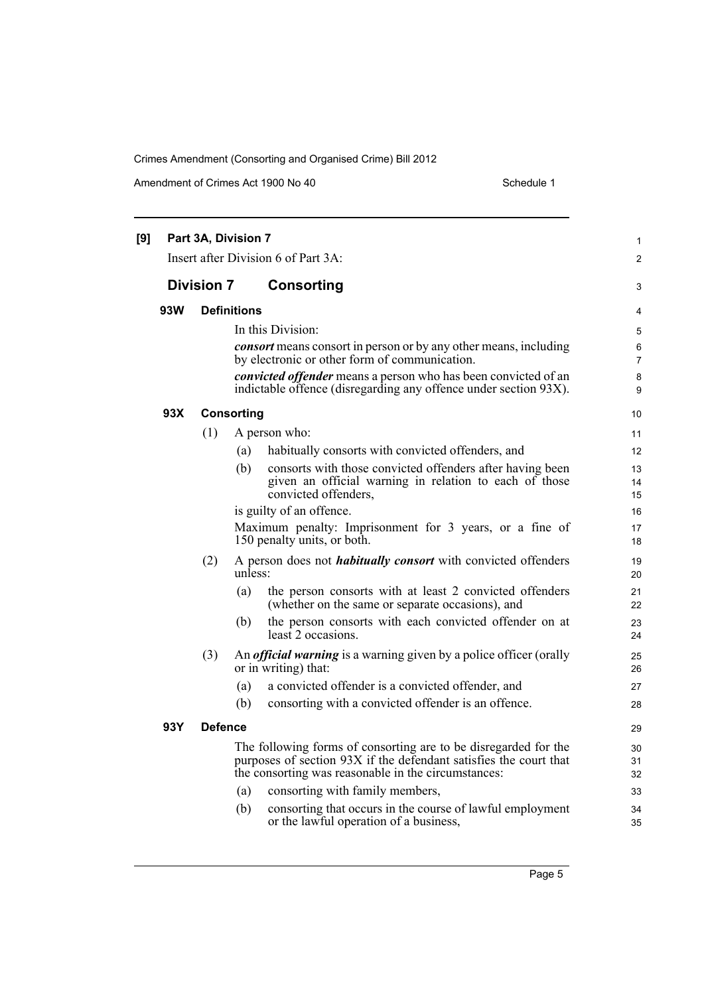Amendment of Crimes Act 1900 No 40 Schedule 1

|     |                   | Part 3A, Division 7 | Insert after Division 6 of Part 3A:                                                                                                                                                         |  |
|-----|-------------------|---------------------|---------------------------------------------------------------------------------------------------------------------------------------------------------------------------------------------|--|
|     |                   |                     |                                                                                                                                                                                             |  |
|     | <b>Division 7</b> |                     | <b>Consorting</b>                                                                                                                                                                           |  |
| 93W |                   | <b>Definitions</b>  |                                                                                                                                                                                             |  |
|     |                   |                     | In this Division:                                                                                                                                                                           |  |
|     |                   |                     | <i>consort</i> means consort in person or by any other means, including<br>by electronic or other form of communication.                                                                    |  |
|     |                   |                     | convicted offender means a person who has been convicted of an                                                                                                                              |  |
|     |                   |                     | indictable offence (disregarding any offence under section 93X).                                                                                                                            |  |
| 93X |                   | <b>Consorting</b>   |                                                                                                                                                                                             |  |
|     | (1)               |                     | A person who:                                                                                                                                                                               |  |
|     |                   | (a)                 | habitually consorts with convicted offenders, and                                                                                                                                           |  |
|     |                   | (b)                 | consorts with those convicted offenders after having been                                                                                                                                   |  |
|     |                   |                     | given an official warning in relation to each of those<br>convicted offenders,                                                                                                              |  |
|     |                   |                     | is guilty of an offence.                                                                                                                                                                    |  |
|     |                   |                     | Maximum penalty: Imprisonment for 3 years, or a fine of                                                                                                                                     |  |
|     |                   |                     | 150 penalty units, or both.                                                                                                                                                                 |  |
|     | (2)               | unless:             | A person does not <i>habitually consort</i> with convicted offenders                                                                                                                        |  |
|     |                   | (a)                 | the person consorts with at least 2 convicted offenders<br>(whether on the same or separate occasions), and                                                                                 |  |
|     |                   | (b)                 | the person consorts with each convicted offender on at<br>least 2 occasions.                                                                                                                |  |
|     | (3)               |                     | An <i>official warning</i> is a warning given by a police officer (orally<br>or in writing) that:                                                                                           |  |
|     |                   | (a)                 | a convicted offender is a convicted offender, and                                                                                                                                           |  |
|     |                   | (b)                 | consorting with a convicted offender is an offence.                                                                                                                                         |  |
| 93Y | <b>Defence</b>    |                     |                                                                                                                                                                                             |  |
|     |                   |                     | The following forms of consorting are to be disregarded for the<br>purposes of section 93X if the defendant satisfies the court that<br>the consorting was reasonable in the circumstances: |  |
|     |                   | (a)                 | consorting with family members,                                                                                                                                                             |  |
|     |                   | (b)                 | consorting that occurs in the course of lawful employment<br>or the lawful operation of a business,                                                                                         |  |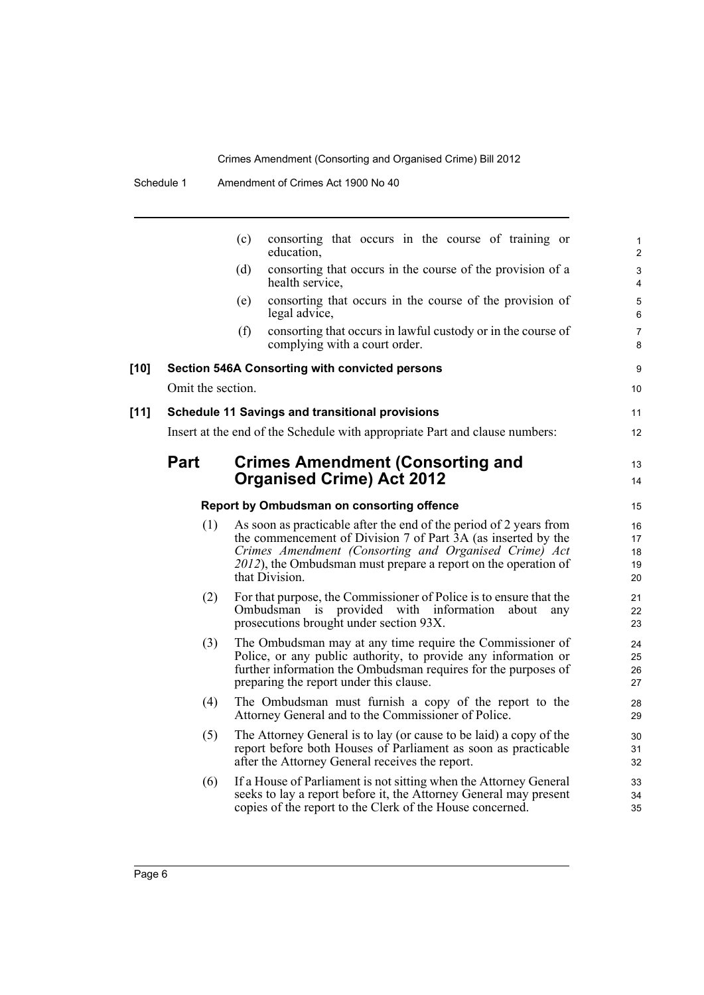|        |                   | consorting that occurs in the course of training or<br>(c)<br>education,                                                                                                                                                                                                         | 1<br>$\overline{c}$        |
|--------|-------------------|----------------------------------------------------------------------------------------------------------------------------------------------------------------------------------------------------------------------------------------------------------------------------------|----------------------------|
|        |                   | (d)<br>consorting that occurs in the course of the provision of a<br>health service,                                                                                                                                                                                             | 3<br>$\overline{4}$        |
|        |                   | consorting that occurs in the course of the provision of<br>(e)<br>legal advice,                                                                                                                                                                                                 | 5<br>6                     |
|        |                   | consorting that occurs in lawful custody or in the course of<br>(f)<br>complying with a court order.                                                                                                                                                                             | $\overline{7}$<br>8        |
| [10]   |                   | <b>Section 546A Consorting with convicted persons</b>                                                                                                                                                                                                                            | 9                          |
|        | Omit the section. |                                                                                                                                                                                                                                                                                  | 10                         |
| $[11]$ |                   | <b>Schedule 11 Savings and transitional provisions</b>                                                                                                                                                                                                                           | 11                         |
|        |                   | Insert at the end of the Schedule with appropriate Part and clause numbers:                                                                                                                                                                                                      | 12                         |
|        | Part              | <b>Crimes Amendment (Consorting and</b>                                                                                                                                                                                                                                          | 13                         |
|        |                   | <b>Organised Crime) Act 2012</b>                                                                                                                                                                                                                                                 | 14                         |
|        |                   | Report by Ombudsman on consorting offence                                                                                                                                                                                                                                        | 15                         |
|        | (1)               | As soon as practicable after the end of the period of 2 years from<br>the commencement of Division 7 of Part 3A (as inserted by the<br>Crimes Amendment (Consorting and Organised Crime) Act<br>2012), the Ombudsman must prepare a report on the operation of<br>that Division. | 16<br>17<br>18<br>19<br>20 |
|        | (2)               | For that purpose, the Commissioner of Police is to ensure that the<br>Ombudsman is provided with information<br>about<br>any<br>prosecutions brought under section 93X.                                                                                                          | 21<br>22<br>23             |
|        | (3)               | The Ombudsman may at any time require the Commissioner of<br>Police, or any public authority, to provide any information or<br>further information the Ombudsman requires for the purposes of<br>preparing the report under this clause.                                         | 24<br>25<br>26<br>27       |
|        | (4)               | The Ombudsman must furnish a copy of the report to the<br>Attorney General and to the Commissioner of Police.                                                                                                                                                                    | 28<br>29                   |
|        | (5)               | The Attorney General is to lay (or cause to be laid) a copy of the<br>report before both Houses of Parliament as soon as practicable<br>after the Attorney General receives the report.                                                                                          | 30<br>31<br>32             |
|        | (6)               | If a House of Parliament is not sitting when the Attorney General<br>seeks to lay a report before it, the Attorney General may present<br>copies of the report to the Clerk of the House concerned.                                                                              | 33<br>34<br>35             |
|        |                   |                                                                                                                                                                                                                                                                                  |                            |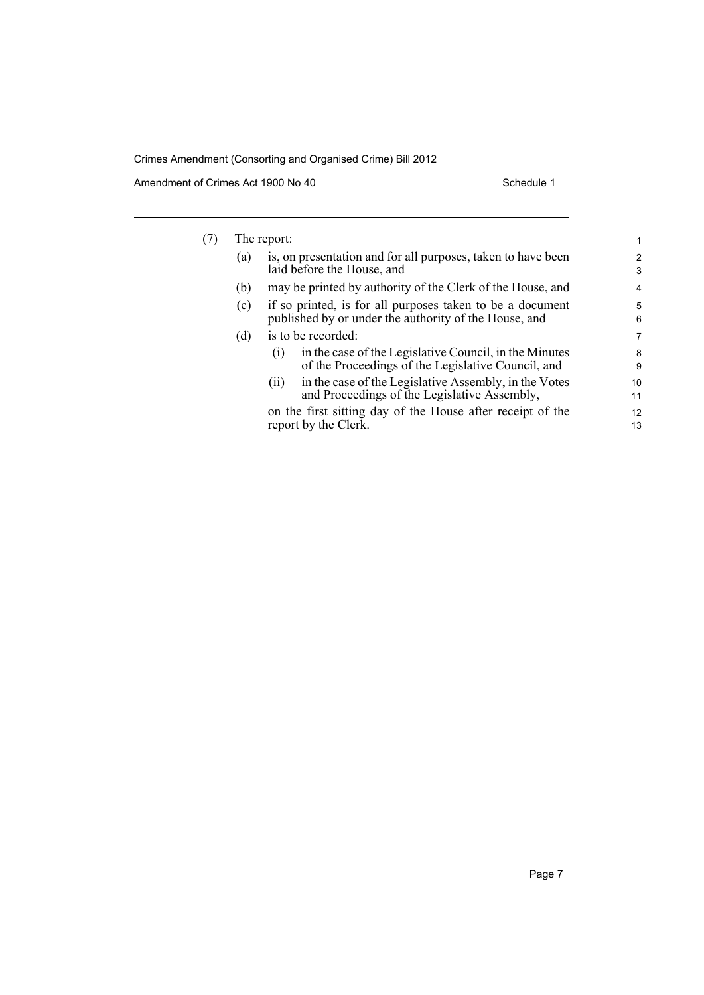Amendment of Crimes Act 1900 No 40 Schedule 1

| (7) | The report: |                                                                                                                     |                |  |  |
|-----|-------------|---------------------------------------------------------------------------------------------------------------------|----------------|--|--|
|     | (a)         | is, on presentation and for all purposes, taken to have been<br>laid before the House, and                          |                |  |  |
|     | (b)         | may be printed by authority of the Clerk of the House, and                                                          | $\overline{4}$ |  |  |
|     | (c)         | if so printed, is for all purposes taken to be a document<br>published by or under the authority of the House, and  |                |  |  |
|     | (d)         | is to be recorded:                                                                                                  |                |  |  |
|     |             | in the case of the Legislative Council, in the Minutes<br>(1)<br>of the Proceedings of the Legislative Council, and | 8<br>9         |  |  |
|     |             | in the case of the Legislative Assembly, in the Votes<br>(11)<br>and Proceedings of the Legislative Assembly,       | 10<br>11       |  |  |
|     |             | on the first sitting day of the House after receipt of the<br>report by the Clerk.                                  | 12<br>13       |  |  |